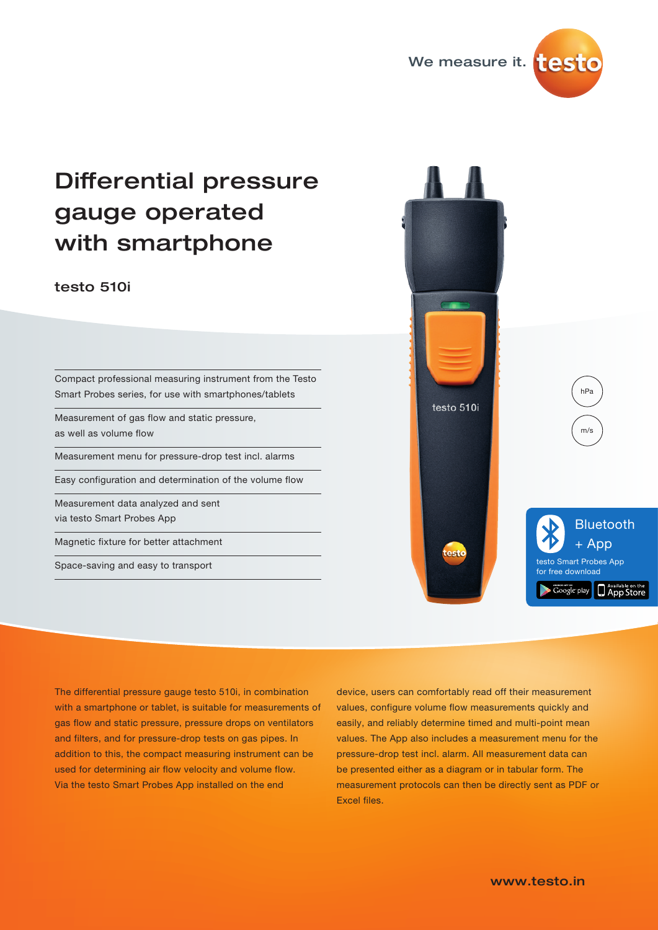

# Differential pressure gauge operated with smartphone

## testo 510i

Compact professional measuring instrument from the Testo Smart Probes series, for use with smartphones/tablets

Measurement of gas flow and static pressure, as well as volume flow

Measurement menu for pressure-drop test incl. alarms

Easy configuration and determination of the volume flow

Measurement data analyzed and sent via testo Smart Probes App

Magnetic fixture for better attachment

Space-saving and easy to transport



The differential pressure gauge testo 510i, in combination with a smartphone or tablet, is suitable for measurements of gas flow and static pressure, pressure drops on ventilators and filters, and for pressure-drop tests on gas pipes. In addition to this, the compact measuring instrument can be used for determining air flow velocity and volume flow. Via the testo Smart Probes App installed on the end

device, users can comfortably read off their measurement values, configure volume flow measurements quickly and easily, and reliably determine timed and multi-point mean values. The App also includes a measurement menu for the pressure-drop test incl. alarm. All measurement data can be presented either as a diagram or in tabular form. The measurement protocols can then be directly sent as PDF or Excel files.